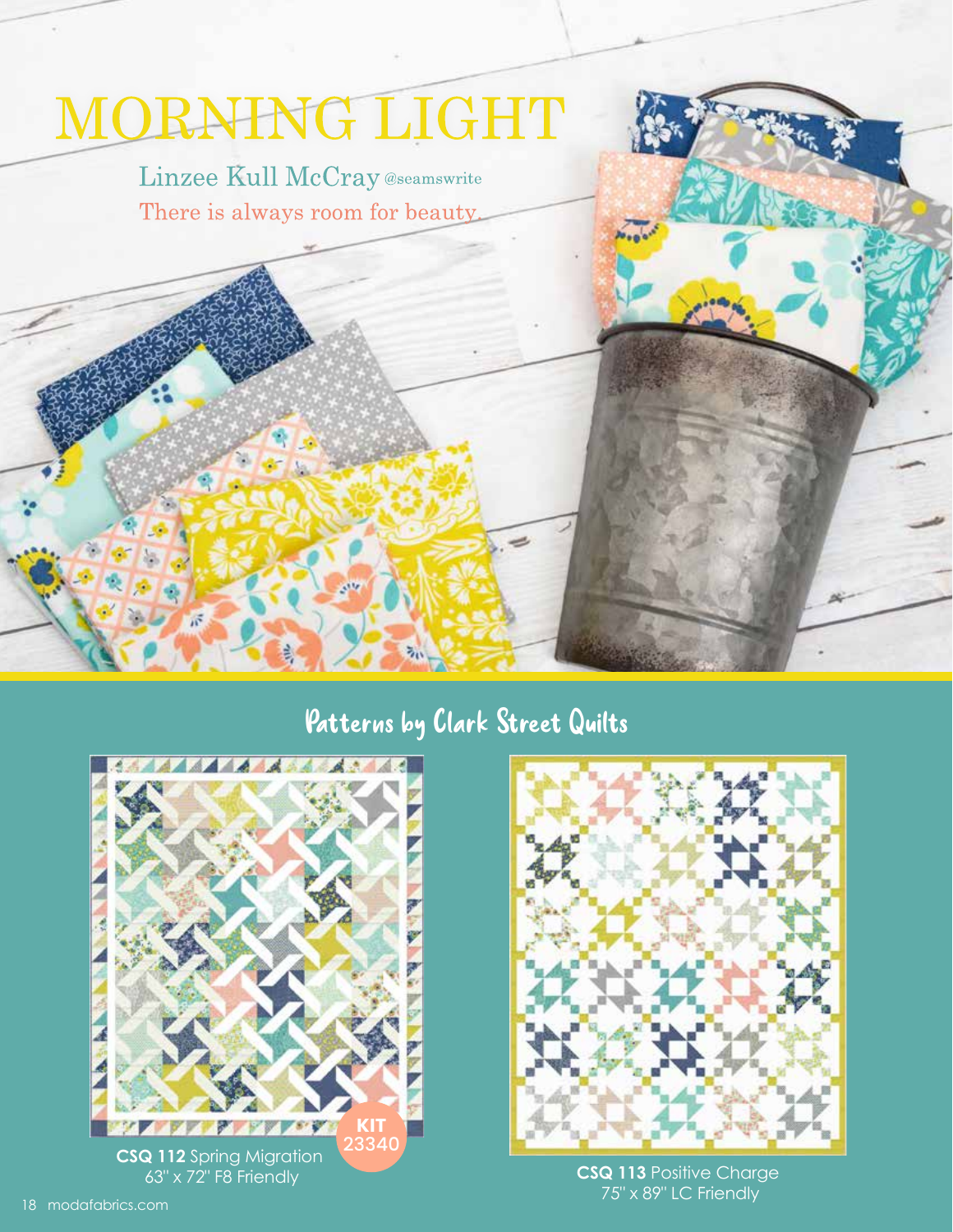## MORNING LIGHT

Linzee Kull McCray @seamswrite There is always room for beauty.

### Patterns by Clark Street Quilts





75" x 89" LC Friendly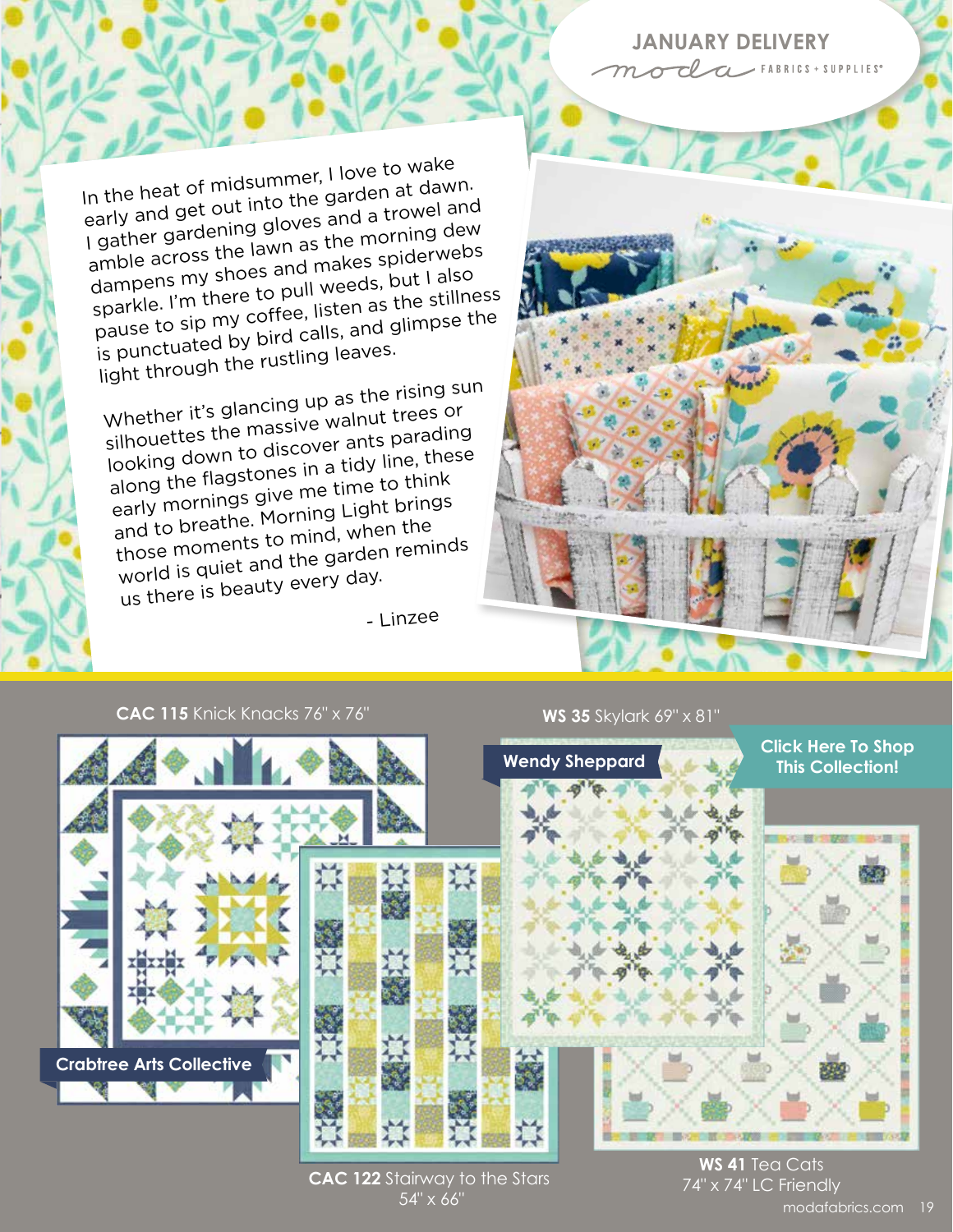#### **JANUARY DELIVERY** OCLa FABRICS + SUPPLIES

In the heat of midsummer, I love to wake early and get out into the garden at dawn. I gather gardening gloves and a trowel and amble across the lawn as the morning dew dampens my shoes and makes spiderwebs sparkle. I'm there to pull weeds, but I also pause to sip my coffee, listen as the stillness is punctuated by bird calls, and glimpse the light through the rustling leaves.

Whether it's glancing up as the rising sun silhouettes the massive walnut trees or looking down to discover ants parading along the flagstones in a tidy line, these early mornings give me time to think and to breathe. Morning Light brings those moments to mind, when the world is quiet and the garden reminds us there is beauty every day.

- Linzee



#### **CAC 115** Knick Knacks 76" x 76"

# **WS 35** Skylark 69" x 81" **Crabtree Arts Collective Wendy Sheppard [Click Here To Shop](https://my.modafabrics.com/shop/s/Linzee_Kull_McCray/Morning_Light/) This Collection!**

**CAC 122** Stairway to the Stars 54" x 66"

**WS 41** Tea Cats 74" x 74" LC Friendly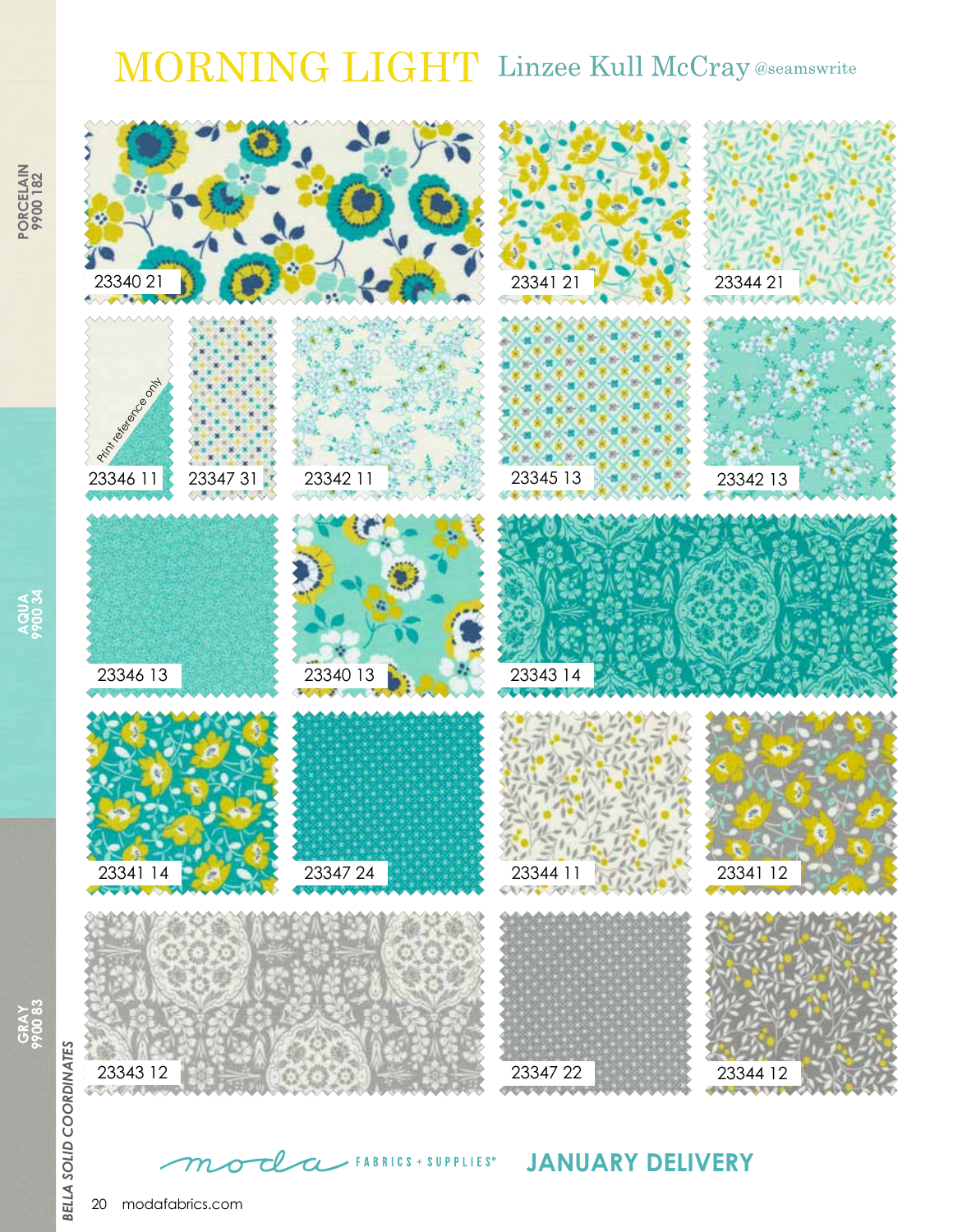## MORNING LIGHT Linzee Kull McCray @seamswrite